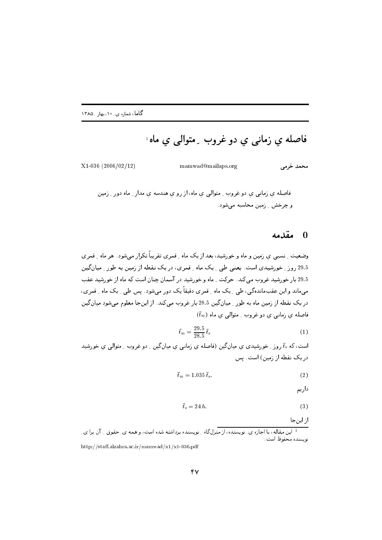فاصله ي زماني ي دو غروب ِ متوالي ي ماه َ

محمد خرمے

mamwad@mailaps.org

 $X1-036$  (2006/02/12)

فاصله ي زماني ي دو غروب ـ متوالي ي ماه، از رو ي هندسه ي مدار ـ ماه دور ـ زمين و چرخش \_ زمین محاسبه مے شود .

## مقدمه  $\blacksquare$

وضعیت ِ نسبی ی زمین و ماه و خورشید، بعد از یک ماه ِ قمری تقریباً تکرار می شود . هر ماه ِ قمر ی 29.5 روز ـ خورشيدي است. يعني طي ـ يک ماه ـ قمري، در يک نقطه از زمين به طور ـ ميان گين 29.5 بار خورشید غروب میکند. حرکت ِ ماه و خورشید در آسمان چنان است که ماه از خورشید عقب می،ماند و این عقبماندهگی، طی ِ یک ماه ِ قمری دقیقاً یک دور میشود. پس طی ِ یک ماه ِ قمری، در یک نقطه از زمین ماه به طور ِ میانگین 28.5 بار غروب میکند. از اینجا معلوم میشود میانگین  $(\bar{t}_{\mathrm{m}})$  فاصله ی زمانی ی دو غروب ِ متوالی ی ماه

$$
\bar{t}_{\rm m} = \frac{29.5}{28.5} \,\bar{t}_{\rm s} \tag{1}
$$

است، که  $\bar{t}_\mathrm{s}$  روز ِ خورشیدی ی میانگین (فاصله ی زمانی ی میانگین ِ دو غروب ِ متوالی ی خورشید در یک نقطه از زمین) است. پس

$$
\bar{t}_{\mathrm{m}} = 1.035 \,\bar{t}_{\mathrm{s}}.\tag{2}
$$

داريم

$$
\bar{t}_s = 24 h. \tag{3}
$$

از اینجا

ا این مقاله، با اجازه ی نویسنده، از منزلگاه رنویسنده برداشته شده است، و همه ی ِ حقوق ر آن برا ی ِ نويسنده محفوظ است. http://staff.alzahra.ac.ir/mamwad/x1/x1-036.pdf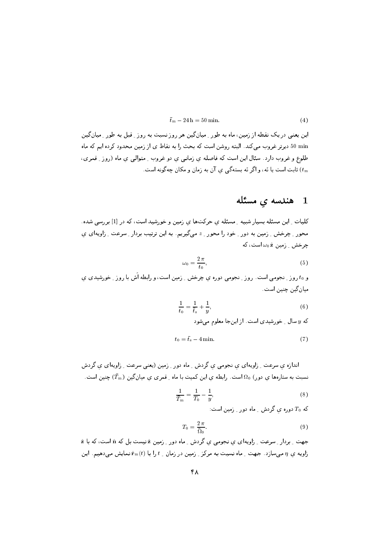$$
\bar{t}_{\mathrm{m}} - 24 \,\mathrm{h} = 50 \,\mathrm{min.} \tag{4}
$$

این یعنی در یک نقطه از زمین، ماه به طور \_میانگین هر روز نسبت به روز \_قبل به طور \_میان گین 50 min دیرتر غروب می کند. البته روشن است که بحث را به نقاط ی از زمین محدود کرده ایم که ماه طلوع و غروب دارد. سئال این است که فاصله ی زمانبی ی دو غروب ِ متوالبی ی ماه (روز ِ قمری، ثابت است یا نَه، و اگر نَه بستهگی ی آن به زمان و مکان چهگونه است.  $(t_{\rm m}$ 

## 1 ۔ هندسه ی مسئله

کلیات ِ این مسئله بسیار شبیه ِ مسئله ی حرکتها ی زمین و خورشید است، که در [1] بررسی شده. محور ۔ چرخش ۔ زمین به دور ۔ خود را محور ۔ z می&پریم. به این ترتیب بردار ۔ سرعت ۔ زاویهای ی  $\omega_0$  چرخش \_ زمین  $\omega_0$  است، که

$$
\omega_0 = \frac{2\,\pi}{t_0},\tag{5}
$$

و to روز ِ نجومی است . روز ِ نجومی دوره ی چرخش ِ ِ زمین است، و رابطه اَش با روز ِ خورشیدی ی ميان گين چنين است .

$$
\frac{1}{t_0} = \frac{1}{\bar{t}_s} + \frac{1}{y},\tag{6}
$$

که  $y$  سال ِ خورشیدی است. از اینجا معلوم می شود

$$
t_0 = \bar{t}_s - 4 \min. \tag{7}
$$

اندازه ی سرعت ِ زاویهای ی نجومی ی گردش ِ ماه دور ِ زمین (یعنی سرعت ِ زاویهای ی گردش نسبت به ستارهها ی دور)  $\Omega_{0}$ است. رابطه ی این کمیت با ماه ِ قمری ی میانگین  $(\bar{T}_{\mathrm{m}})$  چنین است.

$$
\frac{1}{\bar{T}_{\rm m}} = \frac{1}{T_0} - \frac{1}{y},\tag{8}
$$

که  $T_0$  دوره ی گردش ـ ماه دور ـ زمین است:

$$
T_0 = \frac{2\,\pi}{\bar{\Omega}_0}.\tag{9}
$$

جهت ِ بردار ِ سرعت ِ زاویهای ی نجومی ی گردش ِ ماه دور ِ زمین & نیست بل که n است، که با & زاویه ی n میسازد . جهت <sub>-</sub> ماه نسبت به مرکز <sub>-</sub> زمین در زمان <sub>-</sub> t را با  $\hat{\mathbf{r}}_{\mathrm{m}}(t)$  نمایش میدهیم. این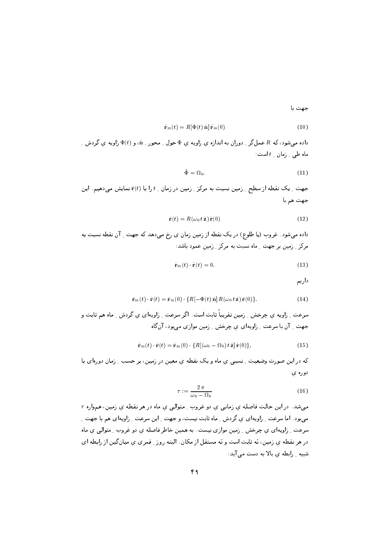جهت با

$$
\hat{\mathbf{r}}_{\mathrm{m}}(t) = R[\Phi(t) \,\hat{\mathbf{n}}] \,\hat{\mathbf{r}}_{\mathrm{m}}(0) \tag{10}
$$

داده می شود، که  $R$  عمل گر ۱ دوران به اندازه ی زاویه ی  $\Phi$  حول ۱ محور ۱ شو ( ، و ( ) و زاویه ی گردش ماه طبی <sub>- ن</sub>مان <sub>-</sub> t است:

$$
\Phi = \Omega_0. \tag{11}
$$

جهت \_ يک نقطه از سطح \_ زمين نسبت به مرکز \_ زمين در زمان \_ t را با (f(t نمايش مىدهيم. اين جهت هم با

$$
\hat{\mathbf{r}}(t) = R(\omega_0 \, t \, \hat{\mathbf{z}}) \, \hat{\mathbf{r}}(0) \tag{12}
$$

داده میشود. غروب (یا طلوع) در یک نقطه از زمین زمان ی رخ میدهد که جهت ِ آن نقطه نسبت به مرکز \_ زمین پر جهت \_ ماه نسبت به مرکز \_ زمین عمود پاشد: .

$$
\hat{\mathbf{r}}_{m}(t) \cdot \hat{\mathbf{r}}(t) = 0. \tag{13}
$$

داریم

$$
\hat{\mathbf{r}}_{\mathrm{m}}(t) \cdot \hat{\mathbf{r}}(t) = \hat{\mathbf{r}}_{\mathrm{m}}(0) \cdot \{R[-\Phi(t) \hat{\mathbf{n}}] R(\omega_0 t \hat{\mathbf{z}}) \hat{\mathbf{r}}(0)\}.
$$
\n(14)

سرعت ِ زاویه ی چرخش ِ ِ زمین تقریباً ثابت است. اگر سرعت ِ زاویهای ی گردش ِ ماه هم ثابت و جهت ِ آن با سرعت ِ زاویهای ی چرخش ِ زمین موازی می بود، آنگاه

$$
\hat{\mathbf{r}}_{\mathbf{m}}(t) \cdot \hat{\mathbf{r}}(t) = \hat{\mathbf{r}}_{\mathbf{m}}(0) \cdot \{ R[(\omega_0 - \Omega_0) t \hat{\mathbf{z}}] \hat{\mathbf{r}}(0) \},\tag{15}
$$

که در این صورت وضعیت ِ نسبی ی ماه و یک نقطه ی معین در زمین، بر حسب ِ زمان دورهای با دوره ی

$$
\tau := \frac{2\,\pi}{\omega_0 - \Omega_0} \tag{16}
$$

 $\tau$  میشد. در این حالت فاصله ی زمانبی ی دو غروب ِ متوالبی ی ماه در هر نقطه ی زمین، همواره  $\tau$ میہود . اما سرعت \_ زاویهای ی گردش \_ ماه ثابت نیست، و جهت \_ این سرعت \_ زاویهای هم با جهت \_ سرعت ِ زاویهای ی چرخش ِ زمین موازی نیست. به همین خاطر فاصله ی دو غروب ِ متوالی ی ماه در هر نقطه ی زمین، نه ثابت است و نه مستقل از مکان . البته روز ِ قمری ی میانگین از رابطه ای شبیه ِ رابطه ی بالا به دست می آید: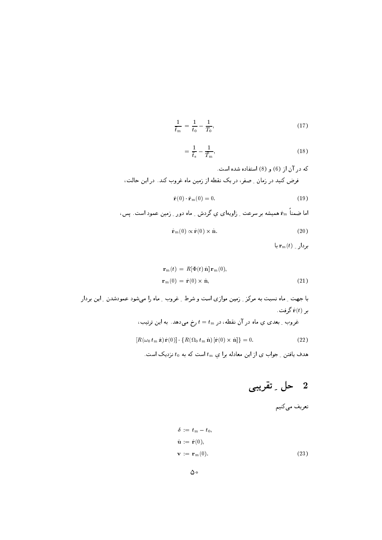$$
\frac{1}{\bar{t}_{\rm m}} = \frac{1}{t_0} - \frac{1}{T_0},\tag{17}
$$

$$
=\frac{1}{\bar{t}_{\rm s}}-\frac{1}{\bar{T}_{\rm m}},\tag{18}
$$

كه در آن از (6) و (8) استفاده شده است. فرض کنید در زمان \_ صفر، در یک نقطه از زمین ماه غروب کند. در این حالت،

$$
\hat{\mathbf{r}}(0) \cdot \hat{\mathbf{r}}_{m}(0) = 0. \tag{19}
$$

اما ضمناً ۴<sub>m</sub> همیشه بر سرعت <sub>-</sub> زاویهای ی گردش <sub>-</sub> ماه دور <sub>-</sub> زمین عمود است. پس،

$$
\hat{\mathbf{r}}_{m}(0) \propto \hat{\mathbf{r}}(0) \times \hat{\mathbf{n}}.\tag{20}
$$

 $\mathbf{r}_{\mathrm{m}}(t)$  بردار \_  $\mathbf{r}_{\mathrm{m}}(t)$  با

$$
\mathbf{r}_{\mathbf{m}}(t) = R[\Phi(t) \hat{\mathbf{n}}] \mathbf{r}_{\mathbf{m}}(0),
$$
  

$$
\mathbf{r}_{\mathbf{m}}(0) = \hat{\mathbf{r}}(0) \times \hat{\mathbf{n}},
$$
 (21)

با جهت ِ ماه نسبت به مرکز ِ زمین موازی است و شرط ِ غروب ِ ماه را میشود عمودشدن ِ این بردار ر  $\hat{\mathbf{r}}(t)$  گرفت

غروب ۔ بعدی یِ ماه در آن نقطه، در 
$$
t=t_{\rm m}
$$
 بخ میدهد. به این ترتیب،

$$
[R(\omega_0 t_m \,\hat{\mathbf{z}}) \,\hat{\mathbf{r}}(0)] \cdot \{R(\Omega_0 t_m \,\hat{\mathbf{n}}) \,[\hat{\mathbf{r}}(0) \times \hat{\mathbf{n}}] \} = 0. \tag{22}
$$

هدف یافتن ِ جواب ی از این معادله برا ی  $t_{\rm m}$  است که به  $t_{\rm 0}$  نزدیک است.

## حل ـِ تقريبي  $2$

تعریف میکنیم

$$
\delta := t_{m} - t_{0},
$$
  
\n
$$
\hat{\mathbf{u}} := \hat{\mathbf{r}}(0),
$$
  
\n
$$
\mathbf{v} := \mathbf{r}_{m}(0).
$$
\n(23)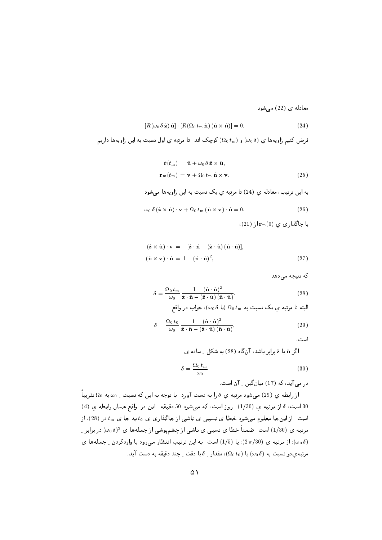معادله ي (22) مي شود

$$
[R(\omega_0 \delta \hat{\mathbf{z}}) \hat{\mathbf{u}}] \cdot [R(\Omega_0 t_m \hat{\mathbf{n}}) (\hat{\mathbf{u}} \times \hat{\mathbf{n}})] = 0.
$$
 (24)

فرض کنیم زاویهها ی (0%) و  $(\Omega_0\,t_{\rm m})$  کوچک اند. تا مرتبه ی اول نسبت به این زاویهها داریم

$$
\hat{\mathbf{r}}(t_{\rm m}) = \hat{\mathbf{u}} + \omega_0 \, \delta \, \hat{\mathbf{z}} \times \hat{\mathbf{u}},
$$
  
\n
$$
\mathbf{r}_{\rm m}(t_{\rm m}) = \mathbf{v} + \Omega_0 \, t_{\rm m} \, \hat{\mathbf{n}} \times \mathbf{v}.
$$
 (25)

به این ترتیب، معادله ی (24) تا مرتبه ی یک نسبت به این زاویهها می شود

$$
\omega_0 \, \delta \left( \hat{\mathbf{z}} \times \hat{\mathbf{u}} \right) \cdot \mathbf{v} + \Omega_0 \, t_m \left( \hat{\mathbf{n}} \times \mathbf{v} \right) \cdot \hat{\mathbf{u}} = 0. \tag{26}
$$

با جاگذاری ي 
$$
(0)_{\mathbf{r}_m}(0)
$$
از

$$
(\hat{\mathbf{z}} \times \hat{\mathbf{u}}) \cdot \mathbf{v} = -[\hat{\mathbf{z}} \cdot \hat{\mathbf{n}} - (\hat{\mathbf{z}} \cdot \hat{\mathbf{u}}) (\hat{\mathbf{n}} \cdot \hat{\mathbf{u}})],
$$
  
\n
$$
(\hat{\mathbf{n}} \times \mathbf{v}) \cdot \hat{\mathbf{u}} = 1 - (\hat{\mathbf{n}} \cdot \hat{\mathbf{u}})^2,
$$
\n(27)

که نتیجه می دهد

$$
\delta = \frac{\Omega_0 t_{\rm m}}{\omega_0} \frac{1 - (\hat{\mathbf{n}} \cdot \hat{\mathbf{u}})^2}{\hat{\mathbf{z}} \cdot \hat{\mathbf{n}} - (\hat{\mathbf{z}} \cdot \hat{\mathbf{u}}) (\hat{\mathbf{n}} \cdot \hat{\mathbf{u}})}.
$$
(28)

البته تا مرتبه ي يک نسبت به 
$$
\Omega_0\,t_{\rm m}
$$
 په یک نسبت په

$$
\delta = \frac{\Omega_0 t_0}{\omega_0} \frac{1 - (\hat{\mathbf{n}} \cdot \hat{\mathbf{u}})^2}{\hat{\mathbf{z}} \cdot \hat{\mathbf{n}} - (\hat{\mathbf{z}} \cdot \hat{\mathbf{u}}) (\hat{\mathbf{n}} \cdot \hat{\mathbf{u}})},\tag{29}
$$

است.

اگر â با â برابر باشد، آن گاه (28) به شکل ـ ساده ی

$$
\delta = \frac{\Omega_0 \, t_{\rm m}}{\omega_0} \tag{30}
$$

در می آید، که (17) میان گین 1 آن است.

از رابطه ی (29) می شود مرتبه ی  $\delta$  را به دست آورد. با توجه به این که نسبت ِ  $\omega_0$  به  $\Omega_0$  تقریباً 30 است، 8 از مرتبه ی (1/30) \_ روز است، كه مى شود 50 دقيقه. اين در واقع همان رابطه ی (4) است. از اینجا معلوم میشود خطا ی نسبی ی ناشی از جاگذاری ی 10 به جا ی  $t_{\rm m}$  در (28)، از مرتبه ی (1/30) است. ضمناً خطا ی نسبی ی ناشی از چشمپوشی از جملهها ی  $(\omega_0\,\delta)^2$  در برابر ِ از مرتبه ی (2  $(2\,\pi/30)$ )، یا (3/5) است. به این ترتیب انتظار میرود با واردکردن ِ جملهها ی (3  $\omega_0\,\delta$ مرتبه یدو نسبت به  $(\omega_0\,\delta)$  یا  $(\Omega_0\,t_0)$ ، مقدار ِ  $\delta$  با دقت ِ چند دقیقه به دست آید.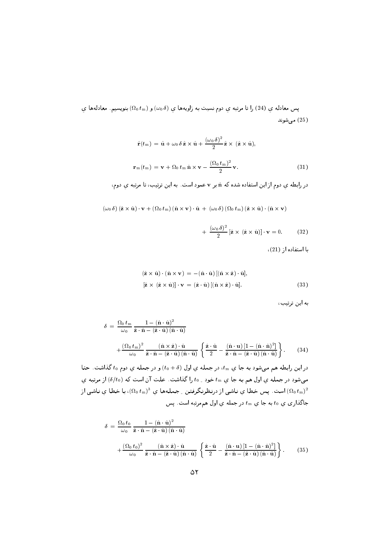یس معادله ی (24) را تا مرتبه ی دوم نسبت به زاویهها ی  $(\omega_0\,\delta)$  و  $(\Omega_0\,t_\mathrm{m})$  بنویسیم. معادلهها ی مے شوند  $(25)$ 

$$
\hat{\mathbf{r}}(t_{\rm m}) = \hat{\mathbf{u}} + \omega_0 \, \delta \, \hat{\mathbf{z}} \times \hat{\mathbf{u}} + \frac{(\omega_0 \, \delta)^2}{2} \, \hat{\mathbf{z}} \times (\hat{\mathbf{z}} \times \hat{\mathbf{u}}),
$$
\n
$$
\mathbf{r}_{\rm m}(t_{\rm m}) = \mathbf{v} + \Omega_0 \, t_{\rm m} \, \hat{\mathbf{n}} \times \mathbf{v} - \frac{(\Omega_0 \, t_{\rm m})^2}{2} \, \mathbf{v}.\tag{31}
$$

در رابطه ی دوم از این استفاده شده که n بر v عمود است. به این ترتیب، تا مرتبه ی دوم،

 $(\omega_0 \delta) (\hat{\mathbf{z}} \times \hat{\mathbf{u}}) \cdot \mathbf{v} + (\Omega_0 t_m) (\hat{\mathbf{n}} \times \mathbf{v}) \cdot \hat{\mathbf{u}} + (\omega_0 \delta) (\Omega_0 t_m) (\hat{\mathbf{z}} \times \hat{\mathbf{u}}) \cdot (\hat{\mathbf{n}} \times \mathbf{v})$ 

$$
+ \frac{(\omega_0 \delta)^2}{2} [\hat{\mathbf{z}} \times (\hat{\mathbf{z}} \times \hat{\mathbf{u}})] \cdot \mathbf{v} = 0. \quad (32)
$$

 $(21)$  استفاده از  $(21)$ 

$$
(\hat{\mathbf{z}} \times \hat{\mathbf{u}}) \cdot (\hat{\mathbf{n}} \times \mathbf{v}) = -(\hat{\mathbf{n}} \cdot \hat{\mathbf{u}}) [(\hat{\mathbf{n}} \times \hat{\mathbf{z}}) \cdot \hat{\mathbf{u}}],
$$
  
\n
$$
[\hat{\mathbf{z}} \times (\hat{\mathbf{z}} \times \hat{\mathbf{u}})] \cdot \mathbf{v} = (\hat{\mathbf{z}} \cdot \hat{\mathbf{u}}) [(\hat{\mathbf{n}} \times \hat{\mathbf{z}}) \cdot \hat{\mathbf{u}}].
$$
\n(33)

به این ترتیب،

$$
\delta = \frac{\Omega_0 t_m}{\omega_0} \frac{1 - (\hat{\mathbf{n}} \cdot \hat{\mathbf{u}})^2}{\hat{\mathbf{z}} \cdot \hat{\mathbf{n}} - (\hat{\mathbf{z}} \cdot \hat{\mathbf{u}})(\hat{\mathbf{n}} \cdot \hat{\mathbf{u}})} + \frac{(\Omega_0 t_m)^2}{\omega_0} \frac{(\hat{\mathbf{n}} \times \hat{\mathbf{z}}) \cdot \hat{\mathbf{u}}}{\hat{\mathbf{z}} \cdot \hat{\mathbf{n}} - (\hat{\mathbf{z}} \cdot \hat{\mathbf{u}})(\hat{\mathbf{n}} \cdot \hat{\mathbf{u}})} \left\{ \frac{\hat{\mathbf{z}} \cdot \hat{\mathbf{u}}}{2} - \frac{(\hat{\mathbf{n}} \cdot \mathbf{u}) \left[1 - (\hat{\mathbf{n}} \cdot \hat{\mathbf{n}})^2\right]}{\hat{\mathbf{z}} \cdot \hat{\mathbf{n}} - (\hat{\mathbf{z}} \cdot \hat{\mathbf{u}})(\hat{\mathbf{n}} \cdot \hat{\mathbf{u}})} \right\}.
$$
(34)

در این رابطه هم میشود به جا ی  $t_{\rm m}$ ، در جمله ی اول  $(t_{0}+\delta)$  و در جمله ی دوم 40 گذاشت. حتا میشود در جمله ی اول هم به جا ی  $t_{\rm m}$  خود ِ 10 را گذاشت. علت آن است که  $(\delta/t_0)$  از مرتبه ی است. پس خطا ی ناشی از درنظرنگرفتن ِ جملهها ی  $(\Omega_0\,t_\mathrm{m})^3$ )، با خطا ی ناشی از  $(\Omega_0\,t_\mathrm{m})^2$ جاگذاري ي  $t_0$  به جا ي  $t_{\rm m}$  در جمله ي اول هم مرتبه است. پس

$$
\delta = \frac{\Omega_0 t_0}{\omega_0} \frac{1 - (\hat{\mathbf{n}} \cdot \hat{\mathbf{u}})^2}{\hat{\mathbf{z}} \cdot \hat{\mathbf{n}} - (\hat{\mathbf{z}} \cdot \hat{\mathbf{u}}) (\hat{\mathbf{n}} \cdot \hat{\mathbf{u}})} + \frac{(\Omega_0 t_0)^2}{\omega_0} \frac{(\hat{\mathbf{n}} \times \hat{\mathbf{z}}) \cdot \hat{\mathbf{u}}}{\hat{\mathbf{z}} \cdot \hat{\mathbf{n}} - (\hat{\mathbf{z}} \cdot \hat{\mathbf{u}}) (\hat{\mathbf{n}} \cdot \hat{\mathbf{u}})} \left\{ \frac{\hat{\mathbf{z}} \cdot \hat{\mathbf{u}}}{2} - \frac{(\hat{\mathbf{n}} \cdot \mathbf{u}) \left[1 - (\hat{\mathbf{n}} \cdot \hat{\mathbf{n}})^2\right]}{\hat{\mathbf{z}} \cdot \hat{\mathbf{n}} - (\hat{\mathbf{z}} \cdot \hat{\mathbf{u}}) (\hat{\mathbf{n}} \cdot \hat{\mathbf{u}})} \right\}.
$$
(35)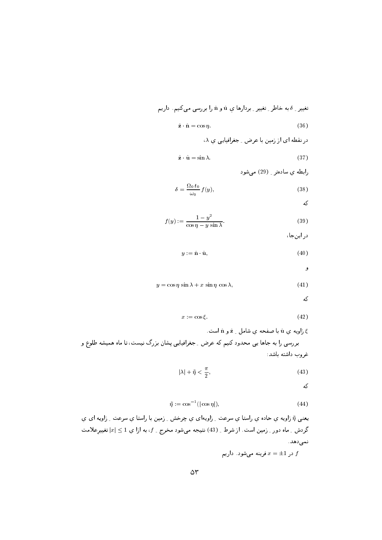تغیبر ۔ 8 به خاطر ۔ تغییر ۔ بردارها یِ 
$$
\hat{\mathbf{u}}
$$
و  $\hat{\mathbf{u}}$ و ار ابررسی میکنیم۔ داریم

$$
\hat{\mathbf{z}} \cdot \hat{\mathbf{n}} = \cos \eta. \tag{36}
$$

$$
\lambda \varphi
$$
در نفطه ای از زمین با عرض ۔ جغرافیایی ی ۸،

$$
\hat{\mathbf{z}} \cdot \hat{\mathbf{u}} = \sin \lambda. \tag{37}
$$

رابطه ی سادهتر 199) می شود

$$
\delta = \frac{\Omega_0 \, t_0}{\omega_0} \, f(y),\tag{38}
$$

که

$$
f(y) := \frac{1 - y^2}{\cos \eta - y \sin \lambda}.
$$
 (39)

در اینجا،

$$
y := \hat{\mathbf{n}} \cdot \hat{\mathbf{u}},\tag{40}
$$

و

$$
y = \cos \eta \, \sin \lambda + x \, \sin \eta \, \cos \lambda,\tag{41}
$$

که

$$
x := \cos \xi. \tag{42}
$$

زاویه ی û با صفحه ی شامل  $\hat{\mathbf{z}}$  و û است.  $\hat{\mathbf{s}}$ بررسی را به جاها یی محدود کنیم که عرض <sub>-</sub> جغرافیایی پِشان بزرگ نیست، تا ماه همیشه طلوع و غروب داشته باشد:

$$
|\lambda| + \tilde{\eta} < \frac{\pi}{2},\tag{43}
$$

که

$$
\tilde{\eta} := \cos^{-1}(|\cos \eta|),\tag{44}
$$

يعنيي آ٬ زاويه ي حاده ي راستا ي سرعت ِ زاويهاي ي چرخش ِ زمين با راستا ي سرعت ِ زاويه اي ي گردش <sub>-</sub> ماه دور <sub>-</sub> زمین است. از شرط <sub>-</sub> (43) نتیجه میشود مخرج <sub>-</sub>  $f$ ، به ازا یِ 1  $\leq |x|$  تغییرِعلامت نمى دھد.

در 1 $\pm 1 = x$  فرینه میشود . داریم  $f$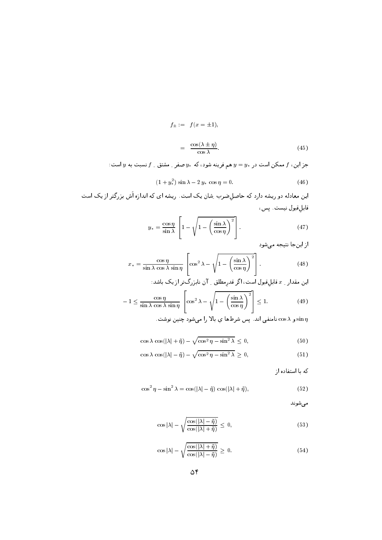$$
f_{\pm} := f(x = \pm 1),
$$
  

$$
= \frac{\cos(\lambda \pm \eta)}{\cos \lambda}.
$$
 (45)

جز این،  $f$  ممکن است در  $y_*$  هم فرینه شود، که  $y_*$  صفر ِ مشتق ِ  $f$  نسبت به  $y$  است:

$$
(1+y_*^2)\,\sin\lambda - 2\,y_*\,\cos\eta = 0.\tag{46}
$$

این معادله دو ریشه دارد که حاصل ضرب ِ شان یک است. ریشه ای که اندازه اَش بزرگتر از یک است قابلقبول نيست. پس،

$$
y_* = \frac{\cos \eta}{\sin \lambda} \left[ 1 - \sqrt{1 - \left(\frac{\sin \lambda}{\cos \eta}\right)^2} \right].
$$
 (47)

از اینجا نتیجه میشود

$$
x_* = \frac{\cos \eta}{\sin \lambda \cos \lambda \sin \eta} \left[ \cos^2 \lambda - \sqrt{1 - \left( \frac{\sin \lambda}{\cos \eta} \right)^2} \right].
$$
 (48)

$$
-1 \le \frac{\cos \eta}{\sin \lambda \cos \lambda \sin \eta} \left[ \cos^2 \lambda - \sqrt{1 - \left(\frac{\sin \lambda}{\cos \eta}\right)^2} \right] \le 1.
$$
 (49)

$$
\sin \eta
$$
 ده دامنفي اند. پس شرطها ي بالا را مىشود چنين نوشت .

$$
\cos \lambda \, \cos(|\lambda| + \tilde{\eta}) - \sqrt{\cos^2 \eta - \sin^2 \lambda} \le 0,\tag{50}
$$

$$
\cos \lambda \, \cos(|\lambda| - \tilde{\eta}) - \sqrt{\cos^2 \eta - \sin^2 \lambda} \ge 0,\tag{51}
$$

که با استفاده از

$$
\cos^2 \eta - \sin^2 \lambda = \cos(|\lambda| - \tilde{\eta}) \cos(|\lambda| + \tilde{\eta}), \tag{52}
$$

مىشوند

$$
\cos|\lambda| - \sqrt{\frac{\cos(|\lambda| - \tilde{\eta})}{\cos(|\lambda| + \tilde{\eta})}} \le 0,
$$
\n(53)

$$
\cos|\lambda| - \sqrt{\frac{\cos(|\lambda| + \tilde{\eta})}{\cos(|\lambda| - \tilde{\eta})}} \ge 0.
$$
\n(54)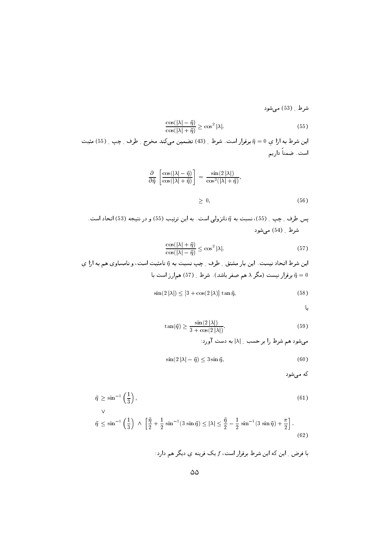شرط ِ (53) می شود

$$
\frac{\cos(|\lambda| - \tilde{\eta})}{\cos(|\lambda| + \tilde{\eta})} \ge \cos^2 |\lambda|.
$$
\n(55)

اين شرط به ازا ي 10 = أبرقرار است. شرط \_ (43) تضمين مي كند مخرج \_ طرف \_ چپ \_ (55) مثبت است. ضمناً داریم

$$
\frac{\partial}{\partial \tilde{\eta}} \left[ \frac{\cos(|\lambda| - \tilde{\eta})}{\cos(|\lambda| + \tilde{\eta})} \right] = \frac{\sin(2|\lambda|)}{\cos^2(|\lambda| + \tilde{\eta})},
$$
  

$$
\geq 0,
$$
 (56)

$$
\frac{\cos(|\lambda| + \tilde{\eta})}{\cos(|\lambda| - \tilde{\eta})} \le \cos^2 |\lambda|.
$$
\n(57)

این شرط اتحاد نیست. این بار مشتق <sub>-</sub> طرف <sub>-</sub> چپ نسبت به ñ نامثبت است، و نامساوي هم به ازا ي برقرار نیست (مگر ۸ هم صفر باشد). شرط ِ (57) همارز است با  $\tilde{\eta}=0$ 

$$
\sin(2|\lambda|) \le [3 + \cos(2|\lambda)] \tan \tilde{\eta},\tag{58}
$$

یا

$$
\tan(\tilde{\eta}) \ge \frac{\sin(2|\lambda|)}{3 + \cos(2|\lambda|)}.\tag{59}
$$

میشود هم شرط را بر حسب 1 | | به دست آورد:

$$
\sin(2|\lambda| - \tilde{\eta}) \le 3 \sin \tilde{\eta},\tag{60}
$$

که می شود

$$
\tilde{\eta} \ge \sin^{-1}\left(\frac{1}{3}\right),\tag{61}
$$
\n
$$
\tilde{\eta} \le \sin^{-1}\left(\frac{1}{3}\right) \land \left[\frac{\tilde{\eta}}{2} + \frac{1}{2}\sin^{-1}(3\sin\tilde{\eta}) \le |\lambda| \le \frac{\tilde{\eta}}{2} - \frac{1}{2}\sin^{-1}(3\sin\tilde{\eta}) + \frac{\pi}{2}\right].\tag{62}
$$

$$
\vdots
$$
با فرض <sub>د</sub> این که این شرط برقرار است، *{{*1 یک فرینه یِ دیگر هم دارد: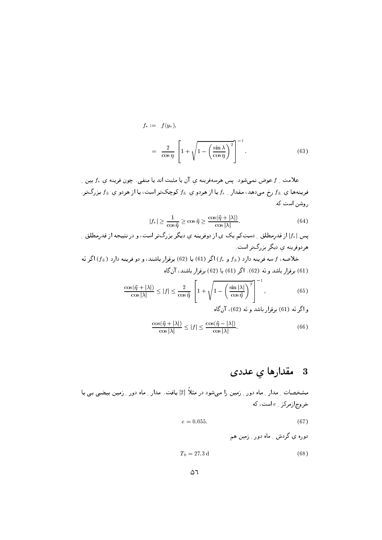$$
f_* := f(y_*),
$$
  
= 
$$
\frac{2}{\cos \eta} \left[ 1 + \sqrt{1 - \left(\frac{\sin \lambda}{\cos \eta}\right)^2} \right]^{-1}.
$$
 (63)

علامت \_ f عوض نمىشود . يس هرسهفرينه ي آن يا مثبت اند يا منفى . چون فرينه ي  $f_*$  بين \_ فرینهها ی  $f_{\pm}$  رخ می دهد، مقدار ِ  $f_{\pm}$  یا از هردو ی  $f_{\pm}$  کوچکتر است، یا از هردو ی  $f_{\pm}$  بزرگتر . روشن است که

$$
|f_*| \ge \frac{1}{\cos \tilde{\eta}} \ge \cos \tilde{\eta} \ge \frac{\cos(\tilde{\eta} + |\lambda|)}{\cos |\lambda|}.
$$
 (64)

یس | ۱٫۰ از قدرمطلق ِ دستِکم یک ی از دوفرینه ی دیگر بزرگتر است، و در نتیجه از قدرمطلق ِ هردوفرینه ی دیگر بز,گتر است.

خلاصه، f سه فرینه دارد (± f و  $f_{\pm}$ ) اگر (61) یا (62) برقرار باشند، و دو فرینه دارد (±f) اگر نَه (61) برقرار باشد و نَه (62). اگر (61) یا (62) برقرار باشند، آن گاه

$$
\frac{\cos(\tilde{\eta} + |\lambda|)}{\cos|\lambda|} \le |f| \le \frac{2}{\cos\tilde{\eta}} \left[ 1 + \sqrt{1 - \left(\frac{\sin|\lambda|}{\cos\tilde{\eta}}\right)^2} \right]^{-1},\tag{65}
$$

$$
\frac{\cos(\tilde{\eta} + |\lambda|)}{\cos|\lambda|} \le |f| \le \frac{\cos(\tilde{\eta} - |\lambda|)}{\cos|\lambda|}.
$$
 (66)

## مقدارها ي عددى  $\overline{\mathbf{3}}$

مشخصات \_ مدار \_ ماه دور \_ زمین را می شود در مثلاً [2] یافت . مدار \_ ماه دور \_ زمین بیضی یی با خروج ازمرکز \_ e است، که

- $e = 0.055.$  $(67)$ 
	- دورہ ی گردش ۔ ماہ دور ۔ زمین ھم

$$
T_0 = 27.3 \,\mathrm{d} \tag{68}
$$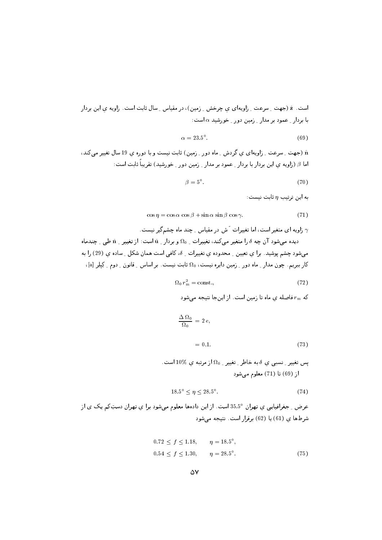$$
\alpha = 23.5^{\circ}.\tag{69}
$$

n (جهت په سرعت په زاویهای ی گردش په ماه دور په زمین) ثابت نیست و یا دوره ی 19 سال تغییر می کند، I اما  $\beta$  (زاویه ی این بردار با بردار ِ عمود بر مدار ِ زمین دور ِ خورشید) تقریباً ثابت است:

$$
\beta = 5^{\circ}.\tag{70}
$$

به این ترتیب  $\eta$  ثابت نیست:

$$
\cos \eta = \cos \alpha \, \cos \beta + \sin \alpha \, \sin \beta \, \cos \gamma. \tag{71}
$$

زاویه ای متغیر است، اما تغییرات آش در مقیاس ِ چند ماه چشمگیر نیست.  $\gamma$ 

دیده میشود آن چه  $\delta$  را متغیر میکند، تغییرات ۱  $\Omega_0$  و بردار ۱ شب اشت: از تغییر ۱ شکل دیندماه می شود چشم پوشید. برا ی تعیین \_ محدوده ی تغییرات \_ 6، کافی است همان شکل \_ ساده ی (29) را به  $\left[\mathrm{a}\right]$  کار ببریم. چون مدار ِ ماه دور ِ زمین دایره نیست،  $\Omega_0$  ثابت نیست. بر اساس ِ قانون ِ دوم ِ کِپلِر  $\left[\mathrm{a}\right]$ ،

$$
\Omega_0 r_{\rm m}^2 = \text{const.},\tag{72}
$$

که  $r_{\rm m}$  فاصله ی ماه تا زمین است. از اینجا نتیجه میشود

$$
\frac{\Delta \Omega_0}{\Omega_0} = 2 e,
$$
  
= 0.1. (73)

$$
18.5^{\circ} \le \eta \le 28.5^{\circ}.\tag{74}
$$

عرض <sub>-</sub> جغرافیایی ي تهران °35.5 است. از این دادهها معلوم میشود برا ي تهران دستِکم یک ی از شرطها ی (61) یا (62) برقرار است. نتیجه میشود

$$
0.72 \le f \le 1.18, \qquad \eta = 18.5^{\circ},
$$
  

$$
0.54 \le f \le 1.30, \qquad \eta = 28.5^{\circ}.
$$
 (75)